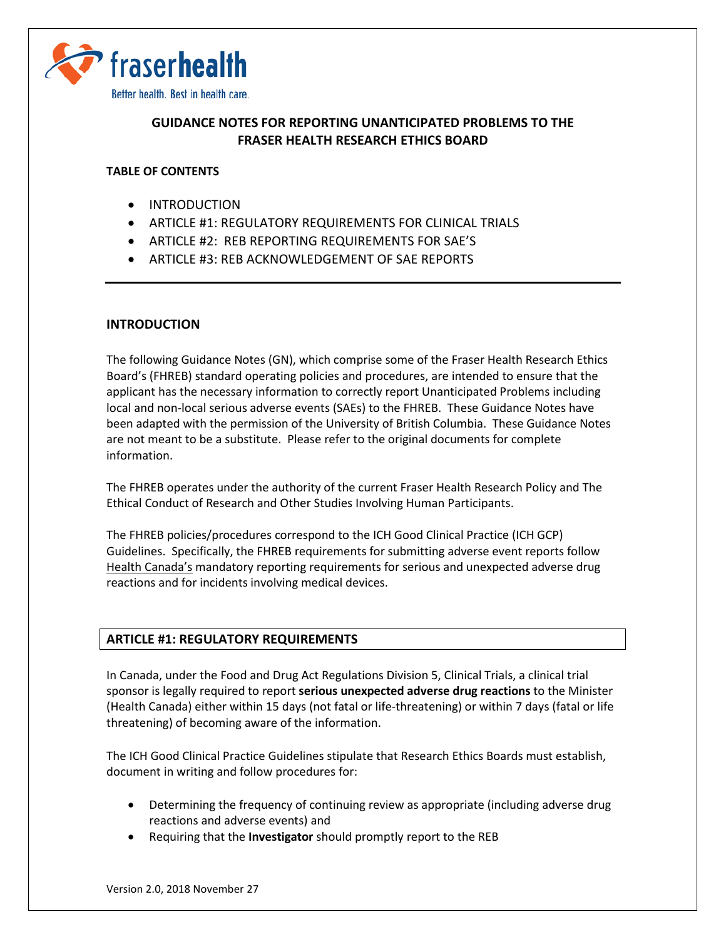

# **GUIDANCE NOTES FOR REPORTING UNANTICIPATED PROBLEMS TO THE FRASER HEALTH RESEARCH ETHICS BOARD**

### **TABLE OF CONTENTS**

- [INTRODUCTION](#page-0-0)
- ARTICLE #1: REGULATORY REQUIREMENTS FOR CLINICAL TRIALS
- ARTICLE #2: REB REPORTING REQUIREMENTS FOR SAE'S
- <span id="page-0-0"></span>• ARTICLE #3: REB ACKNOWLEDGEMENT OF SAE REPORTS

#### **INTRODUCTION**

The following Guidance Notes (GN), which comprise some of the Fraser Health Research Ethics Board's (FHREB) standard operating policies and procedures, are intended to ensure that the applicant has the necessary information to correctly report Unanticipated Problems including local and non-local serious adverse events (SAEs) to the FHREB. These Guidance Notes have been adapted with the permission of the University of British Columbia. These Guidance Notes are not meant to be a substitute. Please refer to the original documents for complete information.

The FHREB operates under the authority of the current Fraser Health Research Policy and The Ethical Conduct of Research and Other Studies Involving Human Participants.

The FHREB policies/procedures correspond to the ICH Good Clinical Practice (ICH GCP) Guidelines. Specifically, the FHREB requirements for submitting adverse event reports follow Health Canada's mandatory reporting requirements for serious and unexpected adverse drug reactions and for incidents involving medical devices.

### **ARTICLE #1: REGULATORY REQUIREMENTS**

In Canada, under the Food and Drug Act Regulations Division 5, Clinical Trials, a clinical trial sponsor is legally required to report **serious unexpected adverse drug reactions** to the Minister (Health Canada) either within 15 days (not fatal or life-threatening) or within 7 days (fatal or life threatening) of becoming aware of the information.

The ICH Good Clinical Practice Guidelines stipulate that Research Ethics Boards must establish, document in writing and follow procedures for:

- Determining the frequency of continuing review as appropriate (including adverse drug reactions and adverse events) and
- Requiring that the **Investigator** should promptly report to the REB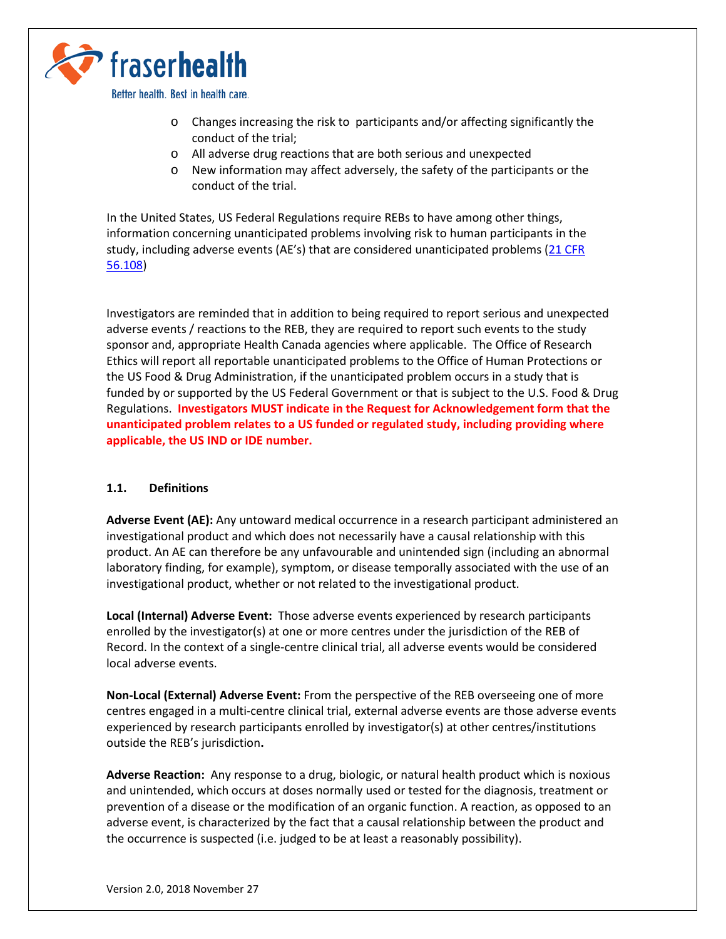

Better health. Best in health care.

- o Changes increasing the risk to participants and/or affecting significantly the conduct of the trial;
- o All adverse drug reactions that are both serious and unexpected
- o New information may affect adversely, the safety of the participants or the conduct of the trial.

In the United States, US Federal Regulations require REBs to have among other things, information concerning unanticipated problems involving risk to human participants in the study, including adverse events (AE's) that are considered unanticipated problems [\(21 CFR](https://www.accessdata.fda.gov/scripts/cdrh/cfdocs/cfcfr/CFRSearch.cfm?fr=56.108) [56.108\)](https://www.accessdata.fda.gov/scripts/cdrh/cfdocs/cfcfr/CFRSearch.cfm?fr=56.108)

Investigators are reminded that in addition to being required to report serious and unexpected adverse events / reactions to the REB, they are required to report such events to the study sponsor and, appropriate Health Canada agencies where applicable. The Office of Research Ethics will report all reportable unanticipated problems to the Office of Human Protections or the US Food & Drug Administration, if the unanticipated problem occurs in a study that is funded by or supported by the US Federal Government or that is subject to the U.S. Food & Drug Regulations. **Investigators MUST indicate in the Request for Acknowledgement form that the unanticipated problem relates to a US funded or regulated study, including providing where applicable, the US IND or IDE number.** 

### **1.1. Definitions**

**Adverse Event (AE):** Any untoward medical occurrence in a research participant administered an investigational product and which does not necessarily have a causal relationship with this product. An AE can therefore be any unfavourable and unintended sign (including an abnormal laboratory finding, for example), symptom, or disease temporally associated with the use of an investigational product, whether or not related to the investigational product.

**Local (Internal) Adverse Event:** Those adverse events experienced by research participants enrolled by the investigator(s) at one or more centres under the jurisdiction of the REB of Record. In the context of a single-centre clinical trial, all adverse events would be considered local adverse events.

**Non-Local (External) Adverse Event:** From the perspective of the REB overseeing one of more centres engaged in a multi-centre clinical trial, external adverse events are those adverse events experienced by research participants enrolled by investigator(s) at other centres/institutions outside the REB's jurisdiction**.**

**Adverse Reaction:** Any response to a drug, biologic, or natural health product which is noxious and unintended, which occurs at doses normally used or tested for the diagnosis, treatment or prevention of a disease or the modification of an organic function. A reaction, as opposed to an adverse event, is characterized by the fact that a causal relationship between the product and the occurrence is suspected (i.e. judged to be at least a reasonably possibility).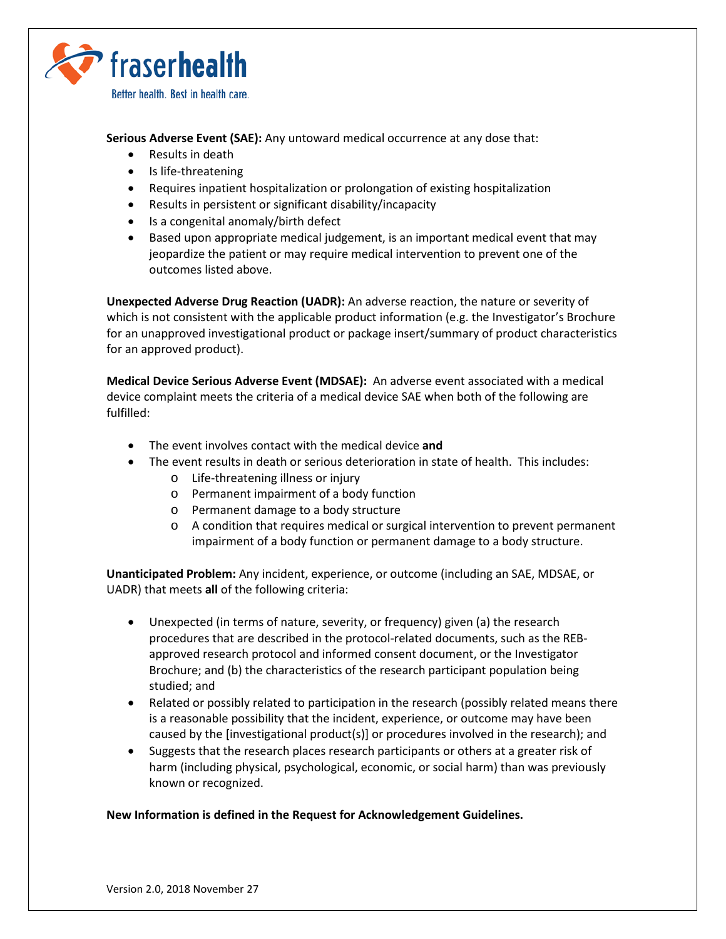

**Serious Adverse Event (SAE):** Any untoward medical occurrence at any dose that:

- Results in death
- Is life-threatening
- Requires inpatient hospitalization or prolongation of existing hospitalization
- Results in persistent or significant disability/incapacity
- Is a congenital anomaly/birth defect
- Based upon appropriate medical judgement, is an important medical event that may jeopardize the patient or may require medical intervention to prevent one of the outcomes listed above.

**Unexpected Adverse Drug Reaction (UADR):** An adverse reaction, the nature or severity of which is not consistent with the applicable product information (e.g. the Investigator's Brochure for an unapproved investigational product or package insert/summary of product characteristics for an approved product).

**Medical Device Serious Adverse Event (MDSAE):** An adverse event associated with a medical device complaint meets the criteria of a medical device SAE when both of the following are fulfilled:

- The event involves contact with the medical device **and**
- The event results in death or serious deterioration in state of health. This includes:
	- o Life-threatening illness or injury
	- o Permanent impairment of a body function
	- o Permanent damage to a body structure
	- o A condition that requires medical or surgical intervention to prevent permanent impairment of a body function or permanent damage to a body structure.

**Unanticipated Problem:** Any incident, experience, or outcome (including an SAE, MDSAE, or UADR) that meets **all** of the following criteria:

- Unexpected (in terms of nature, severity, or frequency) given (a) the research procedures that are described in the protocol-related documents, such as the REBapproved research protocol and informed consent document, or the Investigator Brochure; and (b) the characteristics of the research participant population being studied; and
- Related or possibly related to participation in the research (possibly related means there is a reasonable possibility that the incident, experience, or outcome may have been caused by the [investigational product(s)] or procedures involved in the research); and
- Suggests that the research places research participants or others at a greater risk of harm (including physical, psychological, economic, or social harm) than was previously known or recognized.

## **New Information is defined in the Request for Acknowledgement Guidelines.**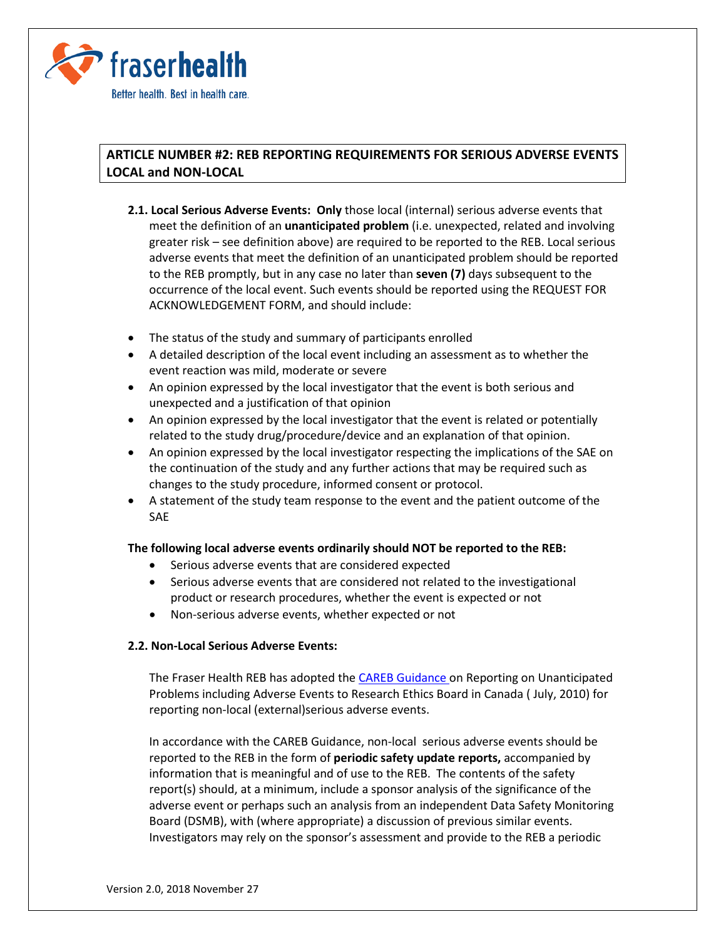

# **ARTICLE NUMBER #2: REB REPORTING REQUIREMENTS FOR SERIOUS ADVERSE EVENTS LOCAL and NON-LOCAL**

- **2.1. Local Serious Adverse Events: Only** those local (internal) serious adverse events that meet the definition of an **unanticipated problem** (i.e. unexpected, related and involving greater risk – see definition above) are required to be reported to the REB. Local serious adverse events that meet the definition of an unanticipated problem should be reported to the REB promptly, but in any case no later than **seven (7)** days subsequent to the occurrence of the local event. Such events should be reported using the REQUEST FOR ACKNOWLEDGEMENT FORM, and should include:
- The status of the study and summary of participants enrolled
- A detailed description of the local event including an assessment as to whether the event reaction was mild, moderate or severe
- An opinion expressed by the local investigator that the event is both serious and unexpected and a justification of that opinion
- An opinion expressed by the local investigator that the event is related or potentially related to the study drug/procedure/device and an explanation of that opinion.
- An opinion expressed by the local investigator respecting the implications of the SAE on the continuation of the study and any further actions that may be required such as changes to the study procedure, informed consent or protocol.
- A statement of the study team response to the event and the patient outcome of the SAE

## **The following local adverse events ordinarily should NOT be reported to the REB:**

- Serious adverse events that are considered expected
- Serious adverse events that are considered not related to the investigational product or research procedures, whether the event is expected or not
- Non-serious adverse events, whether expected or not

### **2.2. Non-Local Serious Adverse Events:**

The Fraser Health REB has adopted th[e CAREB Guidance o](https://www.careb-accer.org/sites/default/files/downloads/careb_guidance_-_ae_reporting_-_july_2010.pdf)n Reporting on Unanticipated Problems including Adverse Events to Research Ethics Board in Canada ( July, 2010) for reporting non-local (external)serious adverse events.

In accordance with the CAREB Guidance, non-local serious adverse events should be reported to the REB in the form of **periodic safety update reports,** accompanied by information that is meaningful and of use to the REB. The contents of the safety report(s) should, at a minimum, include a sponsor analysis of the significance of the adverse event or perhaps such an analysis from an independent Data Safety Monitoring Board (DSMB), with (where appropriate) a discussion of previous similar events. Investigators may rely on the sponsor's assessment and provide to the REB a periodic